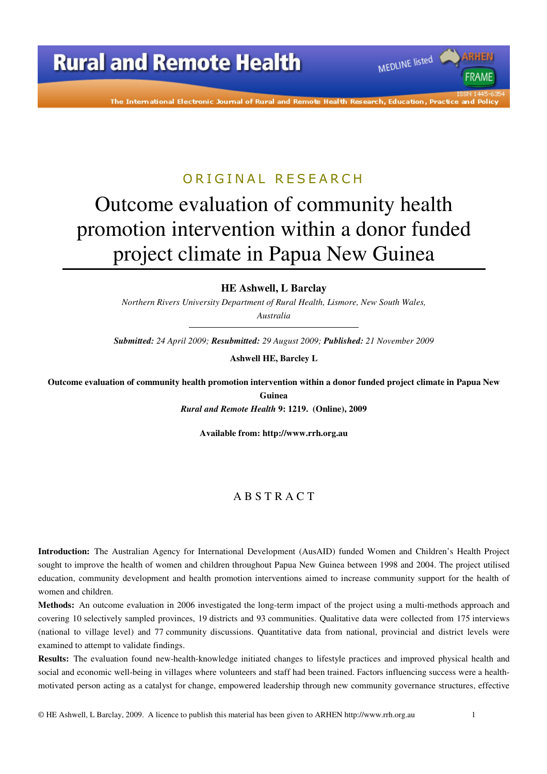

The International Electronic Journal of Rural and Remote Health Research, Education, Practice

### ORIGINAL RESEARCH

# Outcome evaluation of community health promotion intervention within a donor funded project climate in Papua New Guinea

**HE Ashwell, L Barclay** 

*Northern Rivers University Department of Rural Health, Lismore, New South Wales, Australia* 

*Submitted: 24 April 2009; Resubmitted: 29 August 2009; Published: 21 November 2009* 

**Ashwell HE, Barcley L** 

**Outcome evaluation of community health promotion intervention within a donor funded project climate in Papua New Guinea** 

*Rural and Remote Health* **9: 1219. (Online), 2009** 

**Available from: http://www.rrh.org.au** 

#### A B S T R A C T

**Introduction:** The Australian Agency for International Development (AusAID) funded Women and Children's Health Project sought to improve the health of women and children throughout Papua New Guinea between 1998 and 2004. The project utilised education, community development and health promotion interventions aimed to increase community support for the health of women and children.

**Methods:** An outcome evaluation in 2006 investigated the long-term impact of the project using a multi-methods approach and covering 10 selectively sampled provinces, 19 districts and 93 communities. Qualitative data were collected from 175 interviews (national to village level) and 77 community discussions. Quantitative data from national, provincial and district levels were examined to attempt to validate findings.

**Results:** The evaluation found new-health-knowledge initiated changes to lifestyle practices and improved physical health and social and economic well-being in villages where volunteers and staff had been trained. Factors influencing success were a healthmotivated person acting as a catalyst for change, empowered leadership through new community governance structures, effective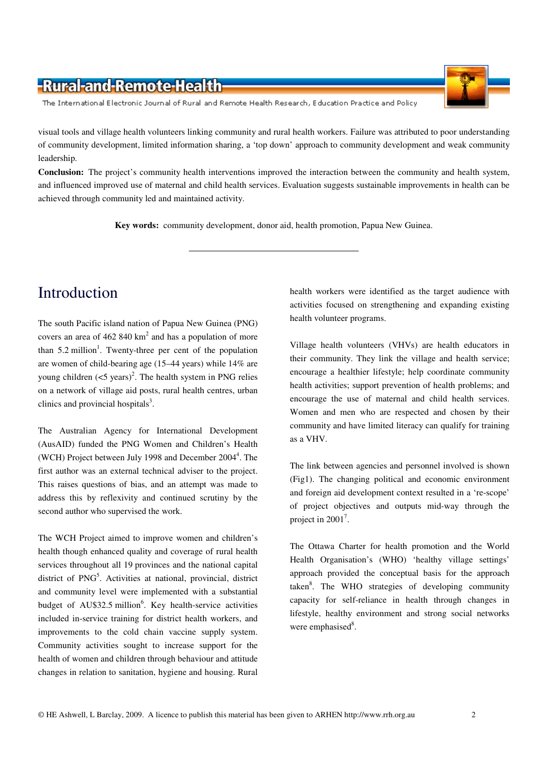The International Electronic Journal of Rural and Remote Health Research, Education Practice and Policy

visual tools and village health volunteers linking community and rural health workers. Failure was attributed to poor understanding of community development, limited information sharing, a 'top down' approach to community development and weak community leadership.

**Conclusion:** The project's community health interventions improved the interaction between the community and health system, and influenced improved use of maternal and child health services. Evaluation suggests sustainable improvements in health can be achieved through community led and maintained activity.

**Key words:** community development, donor aid, health promotion, Papua New Guinea.

# Introduction

The south Pacific island nation of Papua New Guinea (PNG) covers an area of  $462840 \text{ km}^2$  and has a population of more than  $5.2$  million<sup>1</sup>. Twenty-three per cent of the population are women of child-bearing age (15–44 years) while 14% are young children  $(<5 \text{ years})^2$ . The health system in PNG relies on a network of village aid posts, rural health centres, urban clinics and provincial hospitals $3$ .

The Australian Agency for International Development (AusAID) funded the PNG Women and Children's Health (WCH) Project between July 1998 and December 2004<sup>4</sup>. The first author was an external technical adviser to the project. This raises questions of bias, and an attempt was made to address this by reflexivity and continued scrutiny by the second author who supervised the work.

The WCH Project aimed to improve women and children's health though enhanced quality and coverage of rural health services throughout all 19 provinces and the national capital district of PNG<sup>5</sup>. Activities at national, provincial, district and community level were implemented with a substantial budget of AU\$32.5 million<sup>6</sup>. Key health-service activities included in-service training for district health workers, and improvements to the cold chain vaccine supply system. Community activities sought to increase support for the health of women and children through behaviour and attitude changes in relation to sanitation, hygiene and housing. Rural

health workers were identified as the target audience with activities focused on strengthening and expanding existing health volunteer programs.

Village health volunteers (VHVs) are health educators in their community. They link the village and health service; encourage a healthier lifestyle; help coordinate community health activities; support prevention of health problems; and encourage the use of maternal and child health services. Women and men who are respected and chosen by their community and have limited literacy can qualify for training as a VHV.

The link between agencies and personnel involved is shown (Fig1). The changing political and economic environment and foreign aid development context resulted in a 're-scope' of project objectives and outputs mid-way through the project in  $2001^7$ .

The Ottawa Charter for health promotion and the World Health Organisation's (WHO) 'healthy village settings' approach provided the conceptual basis for the approach taken<sup>8</sup>. The WHO strategies of developing community capacity for self-reliance in health through changes in lifestyle, healthy environment and strong social networks were emphasised<sup>8</sup>.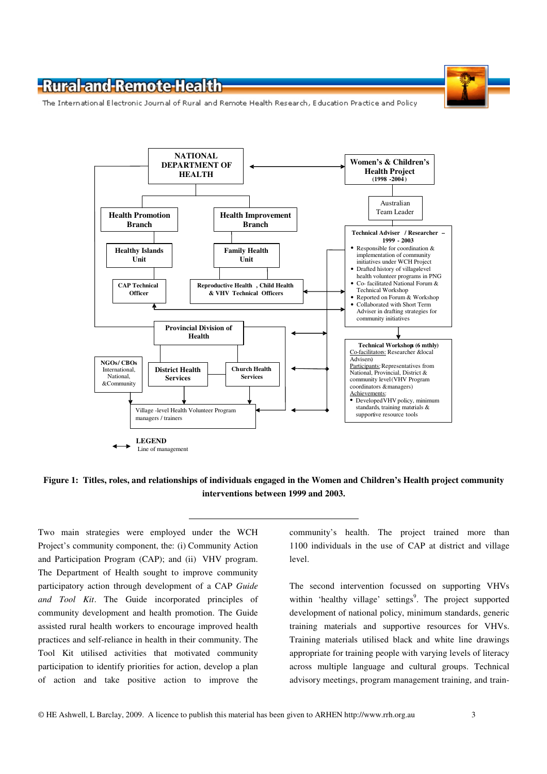The International Electronic Journal of Rural and Remote Health Research, Education Practice and Policy



#### **Figure 1: Titles, roles, and relationships of individuals engaged in the Women and Children's Health project community interventions between 1999 and 2003.**

Two main strategies were employed under the WCH Project's community component, the: (i) Community Action and Participation Program (CAP); and (ii) VHV program. The Department of Health sought to improve community participatory action through development of a CAP *Guide and Tool Kit*. The Guide incorporated principles of community development and health promotion. The Guide assisted rural health workers to encourage improved health practices and self-reliance in health in their community. The Tool Kit utilised activities that motivated community participation to identify priorities for action, develop a plan of action and take positive action to improve the community's health. The project trained more than 1100 individuals in the use of CAP at district and village level.

The second intervention focussed on supporting VHVs within 'healthy village' settings<sup>9</sup>. The project supported development of national policy, minimum standards, generic training materials and supportive resources for VHVs. Training materials utilised black and white line drawings appropriate for training people with varying levels of literacy across multiple language and cultural groups. Technical advisory meetings, program management training, and train-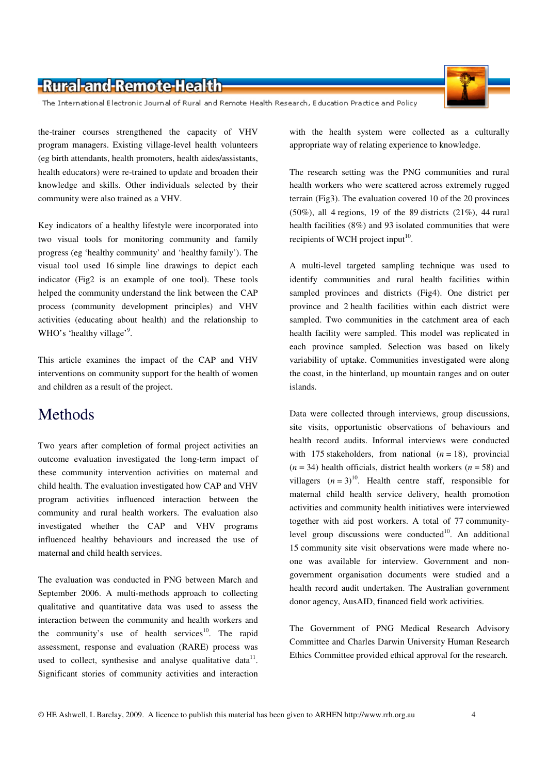The International Electronic Journal of Rural and Remote Health Research, Education Practice and Policy

the-trainer courses strengthened the capacity of VHV program managers. Existing village-level health volunteers (eg birth attendants, health promoters, health aides/assistants, health educators) were re-trained to update and broaden their knowledge and skills. Other individuals selected by their community were also trained as a VHV.

Key indicators of a healthy lifestyle were incorporated into two visual tools for monitoring community and family progress (eg 'healthy community' and 'healthy family'). The visual tool used 16 simple line drawings to depict each indicator (Fig2 is an example of one tool). These tools helped the community understand the link between the CAP process (community development principles) and VHV activities (educating about health) and the relationship to WHO's 'healthy village'<sup>9</sup>.

This article examines the impact of the CAP and VHV interventions on community support for the health of women and children as a result of the project.

# **Methods**

Two years after completion of formal project activities an outcome evaluation investigated the long-term impact of these community intervention activities on maternal and child health. The evaluation investigated how CAP and VHV program activities influenced interaction between the community and rural health workers. The evaluation also investigated whether the CAP and VHV programs influenced healthy behaviours and increased the use of maternal and child health services.

The evaluation was conducted in PNG between March and September 2006. A multi-methods approach to collecting qualitative and quantitative data was used to assess the interaction between the community and health workers and the community's use of health services $10$ . The rapid assessment, response and evaluation (RARE) process was used to collect, synthesise and analyse qualitative data $11$ . Significant stories of community activities and interaction

with the health system were collected as a culturally appropriate way of relating experience to knowledge.

The research setting was the PNG communities and rural health workers who were scattered across extremely rugged terrain (Fig3). The evaluation covered 10 of the 20 provinces  $(50\%)$ , all 4 regions, 19 of the 89 districts  $(21\%)$ , 44 rural health facilities (8%) and 93 isolated communities that were recipients of WCH project input<sup>10</sup>.

A multi-level targeted sampling technique was used to identify communities and rural health facilities within sampled provinces and districts (Fig4). One district per province and 2 health facilities within each district were sampled. Two communities in the catchment area of each health facility were sampled. This model was replicated in each province sampled. Selection was based on likely variability of uptake. Communities investigated were along the coast, in the hinterland, up mountain ranges and on outer islands.

Data were collected through interviews, group discussions, site visits, opportunistic observations of behaviours and health record audits. Informal interviews were conducted with 175 stakeholders, from national  $(n = 18)$ , provincial  $(n = 34)$  health officials, district health workers  $(n = 58)$  and villagers  $(n=3)^{10}$ . Health centre staff, responsible for maternal child health service delivery, health promotion activities and community health initiatives were interviewed together with aid post workers. A total of 77 communitylevel group discussions were conducted<sup>10</sup>. An additional 15 community site visit observations were made where noone was available for interview. Government and nongovernment organisation documents were studied and a health record audit undertaken. The Australian government donor agency, AusAID, financed field work activities.

The Government of PNG Medical Research Advisory Committee and Charles Darwin University Human Research Ethics Committee provided ethical approval for the research.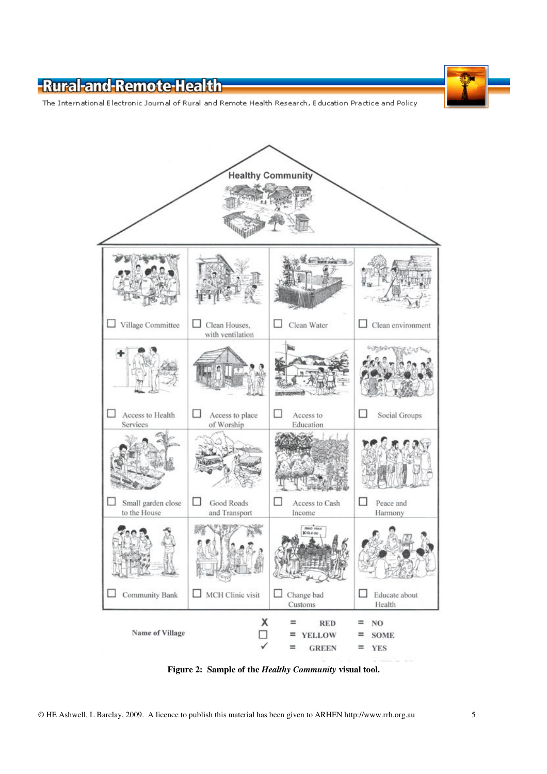The International Electronic Journal of Rural and Remote Health Research, Education Practice and Policy



**Figure 2: Sample of the** *Healthy Community* **visual tool.**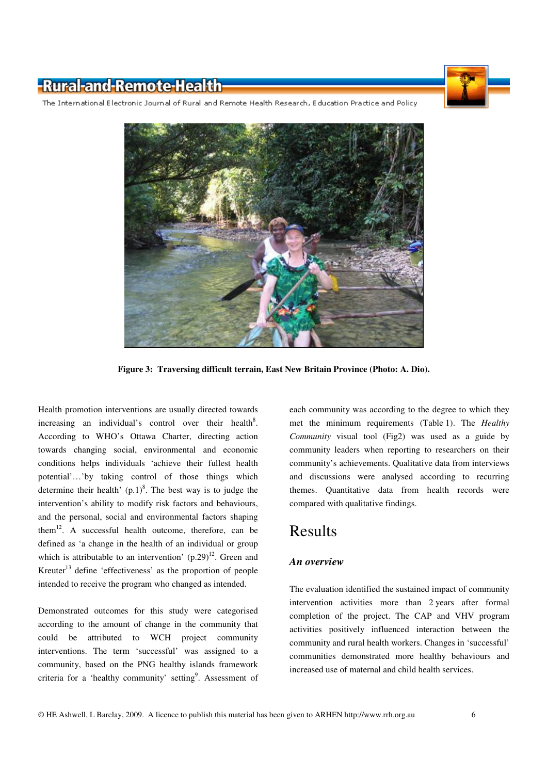

The International Electronic Journal of Rural and Remote Health Research, Education Practice and Policy



**Figure 3: Traversing difficult terrain, East New Britain Province (Photo: A. Dio).** 

Health promotion interventions are usually directed towards increasing an individual's control over their health<sup>8</sup>. According to WHO's Ottawa Charter, directing action towards changing social, environmental and economic conditions helps individuals 'achieve their fullest health potential'…'by taking control of those things which determine their health'  $(p.1)^8$ . The best way is to judge the intervention's ability to modify risk factors and behaviours, and the personal, social and environmental factors shaping them<sup>12</sup>. A successful health outcome, therefore, can be defined as 'a change in the health of an individual or group which is attributable to an intervention'  $(p.29)^{12}$ . Green and Kreuter<sup>13</sup> define 'effectiveness' as the proportion of people intended to receive the program who changed as intended.

Demonstrated outcomes for this study were categorised according to the amount of change in the community that could be attributed to WCH project community interventions. The term 'successful' was assigned to a community, based on the PNG healthy islands framework criteria for a 'healthy community' setting<sup>9</sup>. Assessment of each community was according to the degree to which they met the minimum requirements (Table 1). The *Healthy Community* visual tool (Fig2) was used as a guide by community leaders when reporting to researchers on their community's achievements. Qualitative data from interviews and discussions were analysed according to recurring themes. Quantitative data from health records were compared with qualitative findings.

### Results

#### *An overview*

The evaluation identified the sustained impact of community intervention activities more than 2 years after formal completion of the project. The CAP and VHV program activities positively influenced interaction between the community and rural health workers. Changes in 'successful' communities demonstrated more healthy behaviours and increased use of maternal and child health services.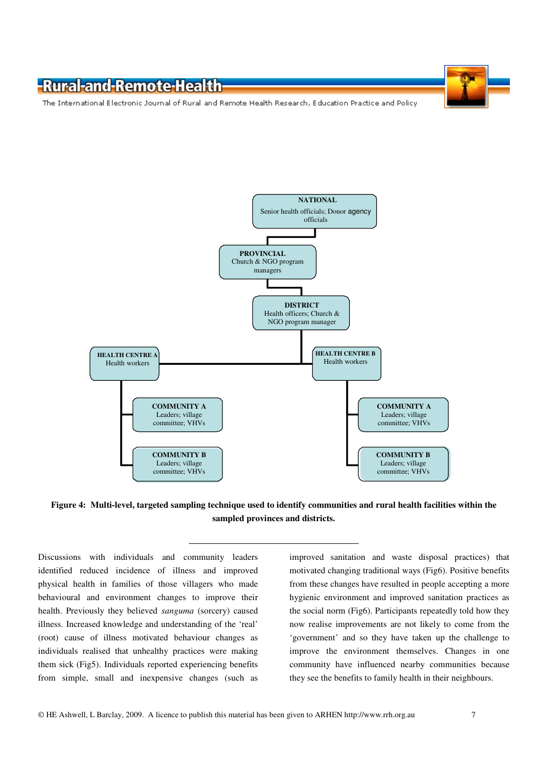The International Electronic Journal of Rural and Remote Health Research, Education Practice and Policy



**Figure 4: Multi-level, targeted sampling technique used to identify communities and rural health facilities within the sampled provinces and districts.** 

Discussions with individuals and community leaders identified reduced incidence of illness and improved physical health in families of those villagers who made behavioural and environment changes to improve their health. Previously they believed *sanguma* (sorcery) caused illness. Increased knowledge and understanding of the 'real' (root) cause of illness motivated behaviour changes as individuals realised that unhealthy practices were making them sick (Fig5). Individuals reported experiencing benefits from simple, small and inexpensive changes (such as

improved sanitation and waste disposal practices) that motivated changing traditional ways (Fig6). Positive benefits from these changes have resulted in people accepting a more hygienic environment and improved sanitation practices as the social norm (Fig6). Participants repeatedly told how they now realise improvements are not likely to come from the 'government' and so they have taken up the challenge to improve the environment themselves. Changes in one community have influenced nearby communities because they see the benefits to family health in their neighbours.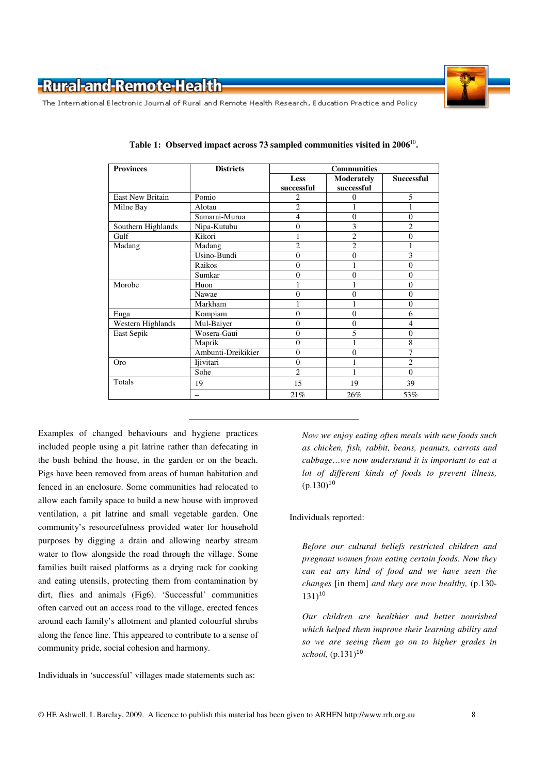

The International Electronic Journal of Rural and Remote Health Research, Education Practice and Policy

| <b>Provinces</b>        | <b>Districts</b>   | <b>Communities</b> |                                 |                   |
|-------------------------|--------------------|--------------------|---------------------------------|-------------------|
|                         |                    | Less<br>successful | <b>Moderately</b><br>successful | <b>Successful</b> |
| <b>East New Britain</b> | Pomio              | 2                  | $\Omega$                        | 5                 |
| Milne Bay               | Alotau             | $\overline{2}$     |                                 |                   |
|                         | Samarai-Murua      | 4                  | $\mathbf{0}$                    | $\overline{0}$    |
| Southern Highlands      | Nipa-Kutubu        | $\overline{0}$     | 3                               | $\overline{2}$    |
| Gulf                    | Kikori             | 1                  | $\mathfrak{2}$                  | $\overline{0}$    |
| Madang                  | Madang             | $\overline{2}$     | $\overline{2}$                  | 1                 |
|                         | Usino-Bundi        | $\overline{0}$     | $\overline{0}$                  | 3                 |
|                         | Raikos             | $\theta$           |                                 | $\overline{0}$    |
|                         | Sumkar             | $\overline{0}$     | $\overline{0}$                  | $\overline{0}$    |
| Morobe                  | Huon               | 1                  |                                 | $\overline{0}$    |
|                         | Nawae              | $\theta$           | $\theta$                        | $\overline{0}$    |
|                         | Markham            | 1                  |                                 | $\overline{0}$    |
| Enga                    | Kompiam            | $\overline{0}$     | $\overline{0}$                  | 6                 |
| Western Highlands       | Mul-Baiyer         | $\theta$           | $\theta$                        | $\overline{4}$    |
| East Sepik              | Wosera-Gaui        | $\overline{0}$     | 5                               | $\overline{0}$    |
|                         | Maprik             | $\theta$           |                                 | 8                 |
|                         | Ambunti-Dreikikier | $\overline{0}$     | $\overline{0}$                  | 7                 |
| Oro                     | Ijivitari          | $\overline{0}$     |                                 | $\overline{2}$    |
|                         | Sohe               | $\overline{c}$     |                                 | $\theta$          |
| Totals                  | 19                 | 15                 | 19                              | 39                |
|                         |                    | 21%                | 26%                             | 53%               |

**Table 1: Observed impact across 73 sampled communities visited in 2006**<sup>10</sup> **.** 

Examples of changed behaviours and hygiene practices included people using a pit latrine rather than defecating in the bush behind the house, in the garden or on the beach. Pigs have been removed from areas of human habitation and fenced in an enclosure. Some communities had relocated to allow each family space to build a new house with improved ventilation, a pit latrine and small vegetable garden. One community's resourcefulness provided water for household purposes by digging a drain and allowing nearby stream water to flow alongside the road through the village. Some families built raised platforms as a drying rack for cooking and eating utensils, protecting them from contamination by dirt, flies and animals (Fig6). 'Successful' communities often carved out an access road to the village, erected fences around each family's allotment and planted colourful shrubs along the fence line. This appeared to contribute to a sense of community pride, social cohesion and harmony.

Individuals in 'successful' villages made statements such as:

*Now we enjoy eating often meals with new foods such as chicken, fish, rabbit, beans, peanuts, carrots and cabbage…we now understand it is important to eat a lot of different kinds of foods to prevent illness,*  $(p.130)^{10}$ 

Individuals reported:

*Before our cultural beliefs restricted children and pregnant women from eating certain foods. Now they can eat any kind of food and we have seen the changes* [in them] *and they are now healthy,* (p.130-  $131)$ <sup>10</sup>

*Our children are healthier and better nourished which helped them improve their learning ability and so we are seeing them go on to higher grades in school,* (p.131)<sup>10</sup>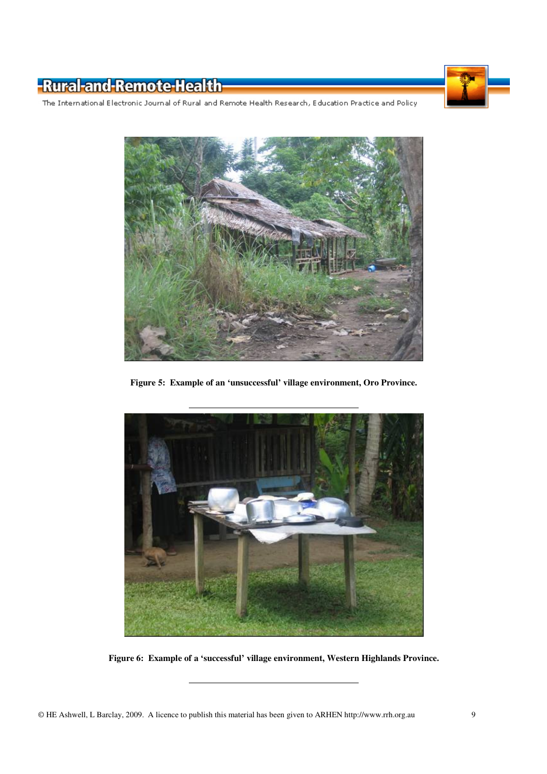

The International Electronic Journal of Rural and Remote Health Research, Education Practice and Policy



**Figure 5: Example of an 'unsuccessful' village environment, Oro Province.** 



**Figure 6: Example of a 'successful' village environment, Western Highlands Province.**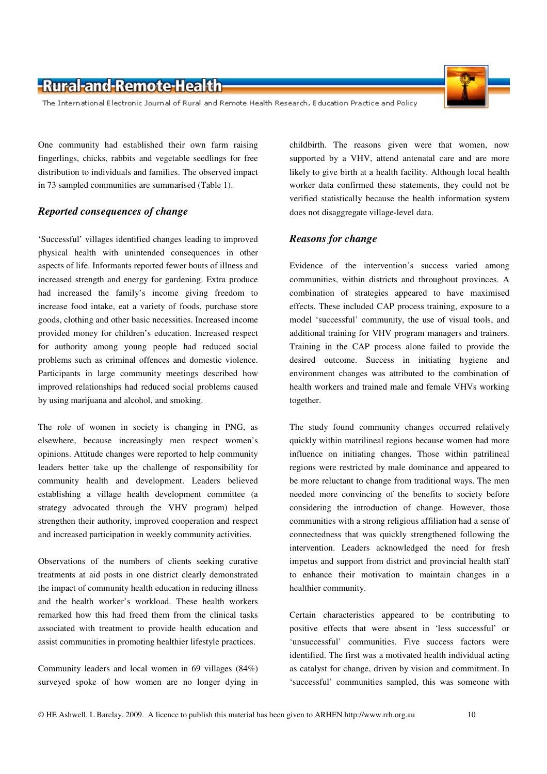The International Electronic Journal of Rural and Remote Health Research, Education Practice and Policy

One community had established their own farm raising fingerlings, chicks, rabbits and vegetable seedlings for free distribution to individuals and families. The observed impact in 73 sampled communities are summarised (Table 1).

#### *Reported consequences of change*

'Successful' villages identified changes leading to improved physical health with unintended consequences in other aspects of life. Informants reported fewer bouts of illness and increased strength and energy for gardening. Extra produce had increased the family's income giving freedom to increase food intake, eat a variety of foods, purchase store goods, clothing and other basic necessities. Increased income provided money for children's education. Increased respect for authority among young people had reduced social problems such as criminal offences and domestic violence. Participants in large community meetings described how improved relationships had reduced social problems caused by using marijuana and alcohol, and smoking.

The role of women in society is changing in PNG, as elsewhere, because increasingly men respect women's opinions. Attitude changes were reported to help community leaders better take up the challenge of responsibility for community health and development. Leaders believed establishing a village health development committee (a strategy advocated through the VHV program) helped strengthen their authority, improved cooperation and respect and increased participation in weekly community activities.

Observations of the numbers of clients seeking curative treatments at aid posts in one district clearly demonstrated the impact of community health education in reducing illness and the health worker's workload. These health workers remarked how this had freed them from the clinical tasks associated with treatment to provide health education and assist communities in promoting healthier lifestyle practices.

Community leaders and local women in 69 villages (84%) surveyed spoke of how women are no longer dying in

childbirth. The reasons given were that women, now supported by a VHV, attend antenatal care and are more likely to give birth at a health facility. Although local health worker data confirmed these statements, they could not be verified statistically because the health information system does not disaggregate village-level data.

#### *Reasons for change*

Evidence of the intervention's success varied among communities, within districts and throughout provinces. A combination of strategies appeared to have maximised effects. These included CAP process training, exposure to a model 'successful' community, the use of visual tools, and additional training for VHV program managers and trainers. Training in the CAP process alone failed to provide the desired outcome. Success in initiating hygiene and environment changes was attributed to the combination of health workers and trained male and female VHVs working together.

The study found community changes occurred relatively quickly within matrilineal regions because women had more influence on initiating changes. Those within patrilineal regions were restricted by male dominance and appeared to be more reluctant to change from traditional ways. The men needed more convincing of the benefits to society before considering the introduction of change. However, those communities with a strong religious affiliation had a sense of connectedness that was quickly strengthened following the intervention. Leaders acknowledged the need for fresh impetus and support from district and provincial health staff to enhance their motivation to maintain changes in a healthier community.

Certain characteristics appeared to be contributing to positive effects that were absent in 'less successful' or 'unsuccessful' communities. Five success factors were identified. The first was a motivated health individual acting as catalyst for change, driven by vision and commitment. In 'successful' communities sampled, this was someone with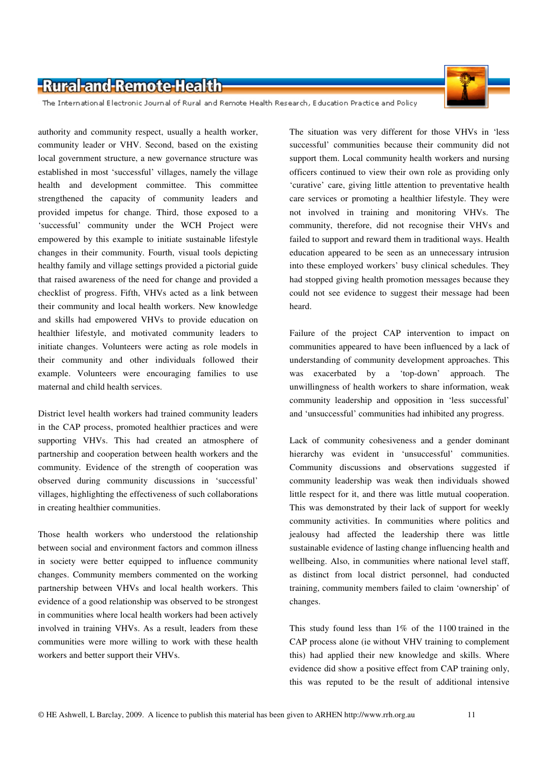The International Electronic Journal of Rural and Remote Health Research, Education Practice and Policy

authority and community respect, usually a health worker, community leader or VHV. Second, based on the existing local government structure, a new governance structure was established in most 'successful' villages, namely the village health and development committee. This committee strengthened the capacity of community leaders and provided impetus for change. Third, those exposed to a 'successful' community under the WCH Project were empowered by this example to initiate sustainable lifestyle changes in their community. Fourth, visual tools depicting healthy family and village settings provided a pictorial guide that raised awareness of the need for change and provided a checklist of progress. Fifth, VHVs acted as a link between their community and local health workers. New knowledge and skills had empowered VHVs to provide education on healthier lifestyle, and motivated community leaders to initiate changes. Volunteers were acting as role models in their community and other individuals followed their example. Volunteers were encouraging families to use maternal and child health services.

District level health workers had trained community leaders in the CAP process, promoted healthier practices and were supporting VHVs. This had created an atmosphere of partnership and cooperation between health workers and the community. Evidence of the strength of cooperation was observed during community discussions in 'successful' villages, highlighting the effectiveness of such collaborations in creating healthier communities.

Those health workers who understood the relationship between social and environment factors and common illness in society were better equipped to influence community changes. Community members commented on the working partnership between VHVs and local health workers. This evidence of a good relationship was observed to be strongest in communities where local health workers had been actively involved in training VHVs. As a result, leaders from these communities were more willing to work with these health workers and better support their VHVs.

The situation was very different for those VHVs in 'less successful' communities because their community did not support them. Local community health workers and nursing officers continued to view their own role as providing only 'curative' care, giving little attention to preventative health care services or promoting a healthier lifestyle. They were not involved in training and monitoring VHVs. The community, therefore, did not recognise their VHVs and failed to support and reward them in traditional ways. Health education appeared to be seen as an unnecessary intrusion into these employed workers' busy clinical schedules. They had stopped giving health promotion messages because they could not see evidence to suggest their message had been heard.

Failure of the project CAP intervention to impact on communities appeared to have been influenced by a lack of understanding of community development approaches. This was exacerbated by a 'top-down' approach. The unwillingness of health workers to share information, weak community leadership and opposition in 'less successful' and 'unsuccessful' communities had inhibited any progress.

Lack of community cohesiveness and a gender dominant hierarchy was evident in 'unsuccessful' communities. Community discussions and observations suggested if community leadership was weak then individuals showed little respect for it, and there was little mutual cooperation. This was demonstrated by their lack of support for weekly community activities. In communities where politics and jealousy had affected the leadership there was little sustainable evidence of lasting change influencing health and wellbeing. Also, in communities where national level staff, as distinct from local district personnel, had conducted training, community members failed to claim 'ownership' of changes.

This study found less than 1% of the 1100 trained in the CAP process alone (ie without VHV training to complement this) had applied their new knowledge and skills. Where evidence did show a positive effect from CAP training only, this was reputed to be the result of additional intensive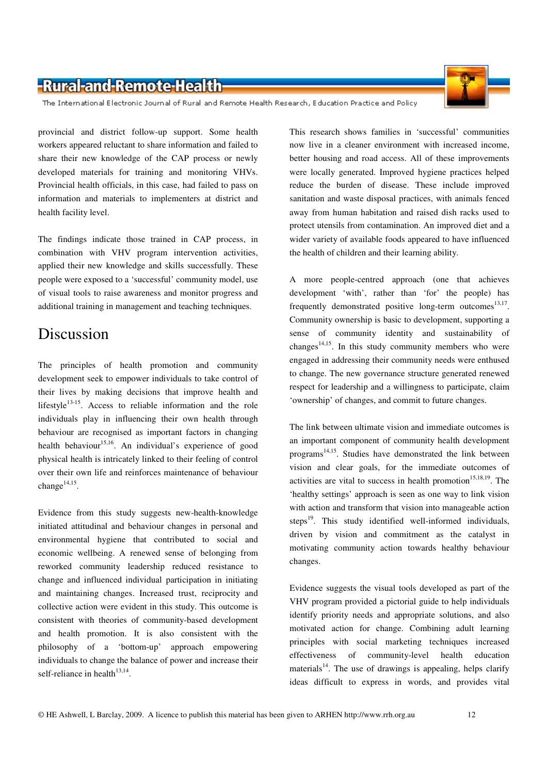The International Electronic Journal of Rural and Remote Health Research, Education Practice and Policy

provincial and district follow-up support. Some health workers appeared reluctant to share information and failed to share their new knowledge of the CAP process or newly developed materials for training and monitoring VHVs. Provincial health officials, in this case, had failed to pass on information and materials to implementers at district and health facility level.

The findings indicate those trained in CAP process, in combination with VHV program intervention activities, applied their new knowledge and skills successfully. These people were exposed to a 'successful' community model, use of visual tools to raise awareness and monitor progress and additional training in management and teaching techniques.

#### Discussion

The principles of health promotion and community development seek to empower individuals to take control of their lives by making decisions that improve health and lifestyle $13-15$ . Access to reliable information and the role individuals play in influencing their own health through behaviour are recognised as important factors in changing health behaviour<sup>15,16</sup>. An individual's experience of good physical health is intricately linked to their feeling of control over their own life and reinforces maintenance of behaviour change $^{14,15}$ .

Evidence from this study suggests new-health-knowledge initiated attitudinal and behaviour changes in personal and environmental hygiene that contributed to social and economic wellbeing. A renewed sense of belonging from reworked community leadership reduced resistance to change and influenced individual participation in initiating and maintaining changes. Increased trust, reciprocity and collective action were evident in this study. This outcome is consistent with theories of community-based development and health promotion. It is also consistent with the philosophy of a 'bottom-up' approach empowering individuals to change the balance of power and increase their self-reliance in health $13,14$ .

This research shows families in 'successful' communities now live in a cleaner environment with increased income, better housing and road access. All of these improvements were locally generated. Improved hygiene practices helped reduce the burden of disease. These include improved sanitation and waste disposal practices, with animals fenced away from human habitation and raised dish racks used to protect utensils from contamination. An improved diet and a wider variety of available foods appeared to have influenced the health of children and their learning ability.

A more people-centred approach (one that achieves development 'with', rather than 'for' the people) has frequently demonstrated positive long-term outcomes $^{13,17}$ . Community ownership is basic to development, supporting a sense of community identity and sustainability of changes<sup>14,15</sup>. In this study community members who were engaged in addressing their community needs were enthused to change. The new governance structure generated renewed respect for leadership and a willingness to participate, claim 'ownership' of changes, and commit to future changes.

The link between ultimate vision and immediate outcomes is an important component of community health development programs<sup>14,15</sup>. Studies have demonstrated the link between vision and clear goals, for the immediate outcomes of activities are vital to success in health promotion<sup>15,18,19</sup>. The 'healthy settings' approach is seen as one way to link vision with action and transform that vision into manageable action steps $^{19}$ . This study identified well-informed individuals, driven by vision and commitment as the catalyst in motivating community action towards healthy behaviour changes.

Evidence suggests the visual tools developed as part of the VHV program provided a pictorial guide to help individuals identify priority needs and appropriate solutions, and also motivated action for change. Combining adult learning principles with social marketing techniques increased effectiveness of community-level health education materials<sup>14</sup>. The use of drawings is appealing, helps clarify ideas difficult to express in words, and provides vital

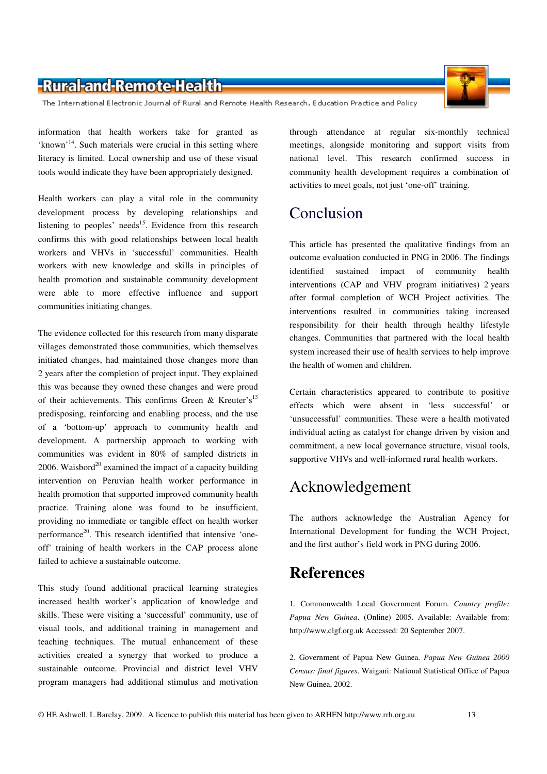The International Electronic Journal of Rural and Remote Health Research, Education Practice and Policy

information that health workers take for granted as 'known'<sup>14</sup>. Such materials were crucial in this setting where literacy is limited. Local ownership and use of these visual tools would indicate they have been appropriately designed.

Health workers can play a vital role in the community development process by developing relationships and listening to peoples' needs<sup>15</sup>. Evidence from this research confirms this with good relationships between local health workers and VHVs in 'successful' communities. Health workers with new knowledge and skills in principles of health promotion and sustainable community development were able to more effective influence and support communities initiating changes.

The evidence collected for this research from many disparate villages demonstrated those communities, which themselves initiated changes, had maintained those changes more than 2 years after the completion of project input. They explained this was because they owned these changes and were proud of their achievements. This confirms Green & Kreuter's<sup>13</sup> predisposing, reinforcing and enabling process, and the use of a 'bottom-up' approach to community health and development. A partnership approach to working with communities was evident in 80% of sampled districts in 2006. Waisbord<sup>20</sup> examined the impact of a capacity building intervention on Peruvian health worker performance in health promotion that supported improved community health practice. Training alone was found to be insufficient, providing no immediate or tangible effect on health worker performance<sup>20</sup>. This research identified that intensive 'oneoff' training of health workers in the CAP process alone failed to achieve a sustainable outcome.

This study found additional practical learning strategies increased health worker's application of knowledge and skills. These were visiting a 'successful' community, use of visual tools, and additional training in management and teaching techniques. The mutual enhancement of these activities created a synergy that worked to produce a sustainable outcome. Provincial and district level VHV program managers had additional stimulus and motivation

through attendance at regular six-monthly technical meetings, alongside monitoring and support visits from national level. This research confirmed success in community health development requires a combination of activities to meet goals, not just 'one-off' training.

# Conclusion

This article has presented the qualitative findings from an outcome evaluation conducted in PNG in 2006. The findings identified sustained impact of community health interventions (CAP and VHV program initiatives) 2 years after formal completion of WCH Project activities. The interventions resulted in communities taking increased responsibility for their health through healthy lifestyle changes. Communities that partnered with the local health system increased their use of health services to help improve the health of women and children.

Certain characteristics appeared to contribute to positive effects which were absent in 'less successful' or 'unsuccessful' communities. These were a health motivated individual acting as catalyst for change driven by vision and commitment, a new local governance structure, visual tools, supportive VHVs and well-informed rural health workers.

# Acknowledgement

The authors acknowledge the Australian Agency for International Development for funding the WCH Project, and the first author's field work in PNG during 2006.

# **References**

1. Commonwealth Local Government Forum. *Country profile: Papua New Guinea*. (Online) 2005. Available: Available from: http://www.clgf.org.uk Accessed: 20 September 2007.

2. Government of Papua New Guinea. *Papua New Guinea 2000 Census: final figures*. Waigani: National Statistical Office of Papua New Guinea, 2002.